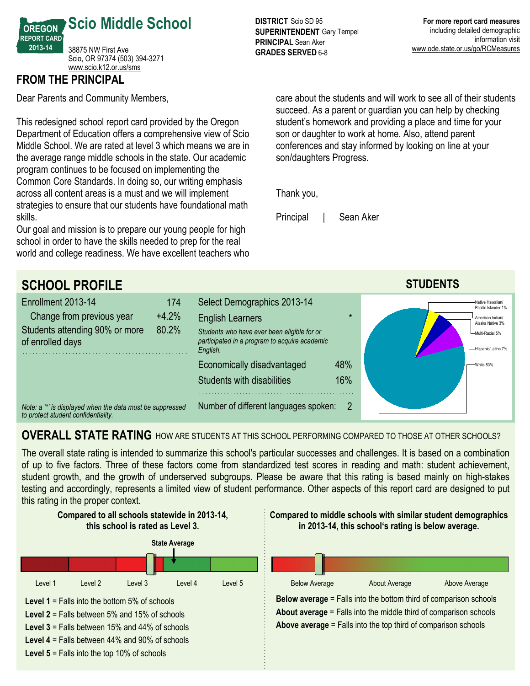

## **FROM THE PRINCIPAL**

Dear Parents and Community Members,

This redesigned school report card provided by the Oregon Department of Education offers a comprehensive view of Scio Middle School. We are rated at level 3 which means we are in the average range middle schools in the state. Our academic program continues to be focused on implementing the Common Core Standards. In doing so, our writing emphasis across all content areas is a must and we will implement strategies to ensure that our students have foundational math skills.

Our goal and mission is to prepare our young people for high school in order to have the skills needed to prep for the real world and college readiness. We have excellent teachers who

**DISTRICT** Scio SD 95 **SUPERINTENDENT** Gary Tempel **PRINCIPAL** Sean Aker **GRADES SERVED 6-8** 

care about the students and will work to see all of their students succeed. As a parent or guardian you can help by checking student's homework and providing a place and time for your son or daughter to work at home. Also, attend parent conferences and stay informed by looking on line at your son/daughters Progress.

Thank you,

Principal | Sean Aker



## **OVERALL STATE RATING** HOW ARE STUDENTS AT THIS SCHOOL PERFORMING COMPARED TO THOSE AT OTHER SCHOOLS?

The overall state rating is intended to summarize this school's particular successes and challenges. It is based on a combination of up to five factors. Three of these factors come from standardized test scores in reading and math: student achievement, student growth, and the growth of underserved subgroups. Please be aware that this rating is based mainly on high-stakes testing and accordingly, represents a limited view of student performance. Other aspects of this report card are designed to put this rating in the proper context.

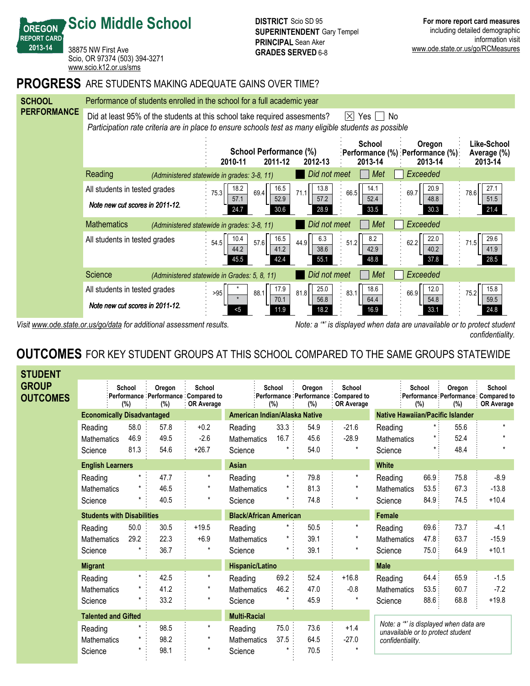**REPORT CARD** 38875 NW First Ave Scio, OR 97374 (503) 394-3271 <www.scio.k12.or.us/sms>

**Scio Middle School**

**OREGON**

**201314**

### **PROGRESS** ARE STUDENTS MAKING ADEQUATE GAINS OVER TIME?



*Visit www.ode.state.or.us/go/data for additional assessment results. Note: a '\*' is displayed when data are unavailable or to protect student confidentiality.*

# **OUTCOMES** FOR KEY STUDENT GROUPS AT THIS SCHOOL COMPARED TO THE SAME GROUPS STATEWIDE

| <b>STUDENT</b>           |                                   |               |                     |                                                             |                    |               |               |                                                             |                                                                             |                  |               |                                                              |
|--------------------------|-----------------------------------|---------------|---------------------|-------------------------------------------------------------|--------------------|---------------|---------------|-------------------------------------------------------------|-----------------------------------------------------------------------------|------------------|---------------|--------------------------------------------------------------|
| GROUP<br><b>OUTCOMES</b> |                                   | School<br>(%) | Oregon<br>(%)       | School<br>Performance Performance Compared to<br>OR Average |                    | School<br>(%) | Oregon<br>(%) | School<br>Performance Performance Compared to<br>OR Average |                                                                             | School<br>$(\%)$ | Oregon<br>(%) | School<br>:Performance Performance Compared to<br>OR Average |
|                          | <b>Economically Disadvantaged</b> |               |                     | American Indian/Alaska Native                               |                    |               |               | <b>Native Hawaiian/Pacific Islander</b>                     |                                                                             |                  |               |                                                              |
|                          | Reading                           | 58.0          | 57.8                | $+0.2$                                                      | Reading            | 33.3          | 54.9          | $-21.6$                                                     | Reading                                                                     |                  | 55.6          | $\star$                                                      |
|                          | <b>Mathematics</b>                | 46.9          | 49.5                | $-2.6$                                                      | <b>Mathematics</b> | 16.7          | 45.6          | $-28.9$                                                     | <b>Mathematics</b>                                                          | $\star$          | 52.4          |                                                              |
|                          | Science                           | 81.3          | 54.6                | $+26.7$                                                     | Science            |               | 54.0          | $\star$                                                     | Science                                                                     | $\star$ :        | 48.4          | $\star$                                                      |
|                          | <b>English Learners</b>           |               |                     |                                                             | Asian              |               |               |                                                             | <b>White</b>                                                                |                  |               |                                                              |
|                          | Reading                           |               | 47.7                | $\star$                                                     | Reading            | $\star$ :     | 79.8          | $^\star$                                                    | Reading                                                                     | 66.9:            | 75.8          | $-8.9$                                                       |
|                          | <b>Mathematics</b>                |               | 46.5                | $\star$                                                     | <b>Mathematics</b> |               | 81.3          | $\star$                                                     | <b>Mathematics</b>                                                          | 53.5             | 67.3          | $-13.8$                                                      |
|                          | Science                           |               | 40.5                | $\star$                                                     | Science            |               | 74.8          | $\star$                                                     | Science                                                                     | 84.9:            | 74.5          | $+10.4$                                                      |
|                          | <b>Students with Disabilities</b> |               |                     | <b>Black/African American</b>                               |                    |               |               | <b>Female</b>                                               |                                                                             |                  |               |                                                              |
|                          | Reading                           | 50.0          | 30.5                | $+19.5$                                                     | Reading            | *             | 50.5          | $\star$                                                     | Reading                                                                     | 69.6             | 73.7          | $-4.1$                                                       |
|                          | <b>Mathematics</b>                | 29.2          | 22.3                | $+6.9$                                                      | Mathematics        |               | 39.1          | $^\star$                                                    | Mathematics                                                                 | 47.8:            | 63.7          | $-15.9$                                                      |
|                          | Science                           |               | 36.7                | $^\star$                                                    | Science            |               | 39.1          | $\star$                                                     | Science                                                                     | 75.0:            | 64.9          | $+10.1$                                                      |
|                          | <b>Migrant</b>                    |               |                     | <b>Hispanic/Latino</b>                                      |                    |               |               | <b>Male</b>                                                 |                                                                             |                  |               |                                                              |
|                          | Reading                           | $\star$ :     | 42.5                | $\star$                                                     | Reading            | 69.2          | 52.4          | $+16.8$                                                     | Reading                                                                     | 64.4:            | 65.9          | $-1.5$                                                       |
|                          | <b>Mathematics</b>                |               | 41.2                | $\star$                                                     | <b>Mathematics</b> | 46.2          | 47.0          | $-0.8$                                                      | <b>Mathematics</b>                                                          | 53.5:            | 60.7          | $-7.2$                                                       |
|                          | Science                           |               | 33.2                | $\star$                                                     | Science            |               | 45.9          |                                                             | Science                                                                     | 88.6             | 68.8          | $+19.8$                                                      |
|                          | <b>Talented and Gifted</b>        |               | <b>Multi-Racial</b> |                                                             |                    |               |               |                                                             |                                                                             |                  |               |                                                              |
|                          | Reading                           |               | 98.5                | $\star$                                                     | Reading            | 75.0:         | 73.6          | $+1.4$                                                      | Note: a "*' is displayed when data are<br>unavailable or to protect student |                  |               |                                                              |
|                          | <b>Mathematics</b>                |               | 98.2                | $\star$                                                     | <b>Mathematics</b> | 37.5          | 64.5          | $-27.0$                                                     | confidentiality.                                                            |                  |               |                                                              |
|                          | Science                           |               | 98.1                | $^\star$                                                    | Science            |               | 70.5          | $\star$                                                     |                                                                             |                  |               |                                                              |
|                          |                                   |               |                     |                                                             |                    |               |               |                                                             |                                                                             |                  |               |                                                              |